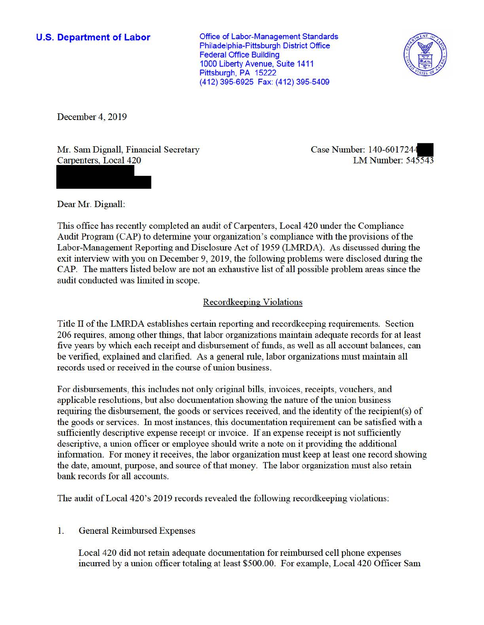# **U.S. Department of Labor**

Office of Labor-Management Standards Philadelphia-Pittsburgh District Office Federal Office Building 1000 Liberty Avenue, Suite 1411 Pittsburgh, PA 15222 (412) 395-6925 Fax: (412) 395-5409



December 4, 2019

Mr. Sam Dignall, Financial Secretary Carpenters, Local 420

Case Number: 140-6017244 LM Number: 545543

Dear Mr. Dignall:

This office has recently completed an audit of Carpenters, Local 420 under the Compliance Audit Program (CAP) to determine your organization's compliance with the provisions of the Labor-Management Reporting and Disclosure Act of 1959 (LMRDA). As discussed during the exit interview with you on December 9, 2019, the following problems were disclosed during the CAP. The matters listed below are not an exhaustive list of all possible problem areas since the audit conducted was limited in scope.

### Recordkeeping Violations

Title II of the LMRDA establishes certain reporting and recordkeeping requirements. Section 206 requires, among other things, that labor organizations maintain adequate records for at least five years by which each receipt and disbursement of funds, as well as all account balances, can be verified, explained and clarified. As a general rule, labor organizations must maintain all records used or received in the course of union business.

For disbursements, this includes not only original bills, invoices, receipts, vouchers, and applicable resolutions, but also documentation showing the nature of the union business requiring the disbursement, the goods or services received, and the identity of the recipient(s) of the goods or services. In most instances, this documentation requirement can be satisfied with a sufficiently descriptive expense receipt or invoice. If an expense receipt is not sufficiently descriptive, a union officer or employee should write a note on it providing the additional information. For money it receives, the labor organization must keep at least one record showing the date, amount, purpose, and source of that money. The labor organization must also retain bank records for all accounts.

The audit of Local 420's 2019 records revealed the following recordkeeping violations:

# 1. General Reimbursed Expenses

Local 420 did not retain adequate documentation for reimbursed cell phone expenses incuned by a union officer totaling at least \$500.00. For example, Local 420 Officer Sam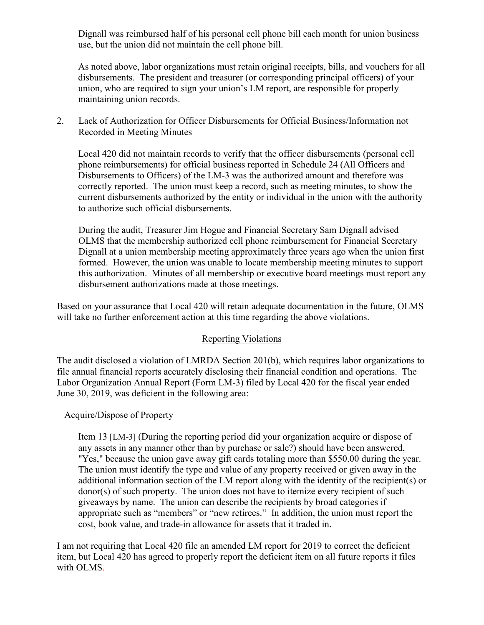use, but the union did not maintain the cell phone bill. Dignall was reimbursed half of his personal cell phone bill each month for union business

 disbursements. The president and treasurer (or corresponding principal officers) of your As noted above, labor organizations must retain original receipts, bills, and vouchers for all union, who are required to sign your union's LM report, are responsible for properly maintaining union records.

2. Lack of Authorization for Officer Disbursements for Official Business/Information not Recorded in Meeting Minutes

 phone reimbursements) for official business reported in Schedule 24 (All Officers and Local 420 did not maintain records to verify that the officer disbursements (personal cell Disbursements to Officers) of the LM-3 was the authorized amount and therefore was correctly reported. The union must keep a record, such as meeting minutes, to show the current disbursements authorized by the entity or individual in the union with the authority to authorize such official disbursements.

 Dignall at a union membership meeting approximately three years ago when the union first During the audit, Treasurer Jim Hogue and Financial Secretary Sam Dignall advised OLMS that the membership authorized cell phone reimbursement for Financial Secretary formed. However, the union was unable to locate membership meeting minutes to support this authorization. Minutes of all membership or executive board meetings must report any disbursement authorizations made at those meetings.

 Based on your assurance that Local 420 will retain adequate documentation in the future, OLMS will take no further enforcement action at this time regarding the above violations.

# Reporting Violations

 Labor Organization Annual Report (Form LM-3) filed by Local 420 for the fiscal year ended June 30, 2019, was deficient in the following area: Acquire/Dispose of Property The audit disclosed a violation of LMRDA Section 201(b), which requires labor organizations to file annual financial reports accurately disclosing their financial condition and operations. The

 additional information section of the LM report along with the identity of the recipient(s) or giveaways by name. The union can describe the recipients by broad categories if appropriate such as "members" or "new retirees." In addition, the union must report the Item 13 [LM-3] (During the reporting period did your organization acquire or dispose of any assets in any manner other than by purchase or sale?) should have been answered, "Yes," because the union gave away gift cards totaling more than \$550.00 during the year. The union must identify the type and value of any property received or given away in the donor(s) of such property. The union does not have to itemize every recipient of such cost, book value, and trade-in allowance for assets that it traded in.

I am not requiring that Local 420 file an amended LM report for 2019 to correct the deficient item, but Local 420 has agreed to properly report the deficient item on all future reports it files with OLMS.